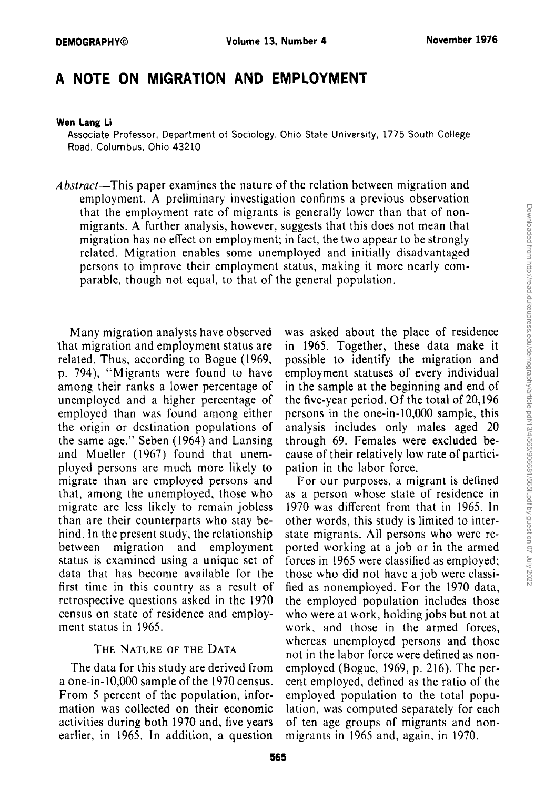# **A NOTE ON MIGRATION AND EMPLOYMENT**

## **Wen Lang LI**

Associate Professor, Department of Sociology, Ohio State University, 1775 South College Road, Columbus, Ohio 43210

*Abstract-This* paper examines the nature of the relation between migration and employment. A preliminary investigation confirms a previous observation that the employment rate of migrants is generally lower than that of nonmigrants. A further analysis, however, suggests that this does not mean that migration has no effect on employment; in fact, the two appear to be strongly related. Migration enables some unemployed and initially disadvantaged persons to improve their employment status, making it more nearly comparable, though not equal, to that of the general population.

Many migration analysts have observed 'that migration and employment status are related. Thus, according to Bogue (1969, p. 794), "Migrants were found to have among their ranks a lower percentage of unemployed and a higher percentage of employed than was found among either the origin or destination populations of the same age." Seben (1964) and Lansing and Mueller (1967) found that unemployed persons are much more likely to migrate than are employed persons and that, among the unemployed, those who migrate are less likely to remain jobless than are their counterparts who stay behind. In the present study, the relationship between migration and employment status is examined using a unique set of data that has become available for the first time in this country as a result of retrospective questions asked in the 1970 census on state of residence and employment status in 1965.

## THE NATURE OF THE DATA

The data for this study are derived from a one-in-10,000 sample of the 1970 census. From 5 percent of the population, information was collected on their economic activities during both 1970 and, five years earlier, in 1965. In addition, a question was asked about the place of residence in 1965. Together, these data make it possible to identify the migration and employment statuses of every individual in the sample at the beginning and end of the five-year period. Of the total of 20,196 persons in the one-in-IO,OOO sample, this analysis includes only males aged 20 through 69. Females were excluded because of their relatively low rate of participation in the labor force.

For our purposes, a migrant is defined as a person whose state of residence in 1970 was different from that in 1965. In other words, this study is limited to interstate migrants. All persons who were reported working at a job or in the armed forces in 1965 were classified as employed; those who did not have a job were classified as nonemployed. For the 1970 data, the employed population includes those who were at work, holding jobs but not at work, and those in the armed forces, whereas unemployed persons and those not in the labor force were defined as nonemployed (Bogue, 1969, p. 216). The percent employed, defined as the ratio of the employed population to the total population, was computed separately for each of ten age groups of migrants and nonmigrants in 1965 and, again, in 1970.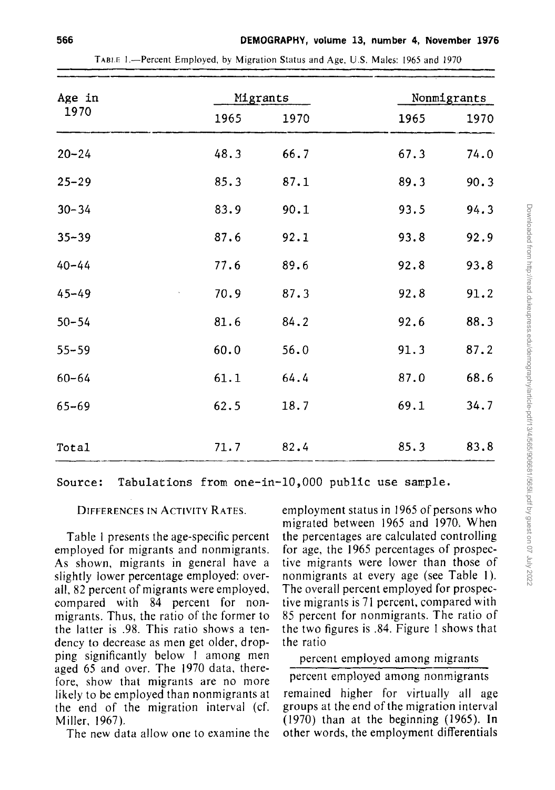| Age in    | Migrants |      |      | Nonmigrants |  |  |
|-----------|----------|------|------|-------------|--|--|
| 1970      | 1965     | 1970 | 1965 | 1970        |  |  |
| $20 - 24$ | 48.3     | 66.7 | 67.3 | 74.0        |  |  |
| $25 - 29$ | 85.3     | 87.1 | 89.3 | 90.3        |  |  |
| $30 - 34$ | 83.9     | 90.1 | 93.5 | 94.3        |  |  |
| $35 - 39$ | 87.6     | 92.1 | 93.8 | 92.9        |  |  |
| $40 - 44$ | 77.6     | 89.6 | 92.8 | 93.8        |  |  |
| $45 - 49$ | 70.9     | 87.3 | 92.8 | 91.2        |  |  |
| $50 - 54$ | 81.6     | 84.2 | 92.6 | 88.3        |  |  |
| $55 - 59$ | 60.0     | 56.0 | 91.3 | 87.2        |  |  |
| $60 - 64$ | 61.1     | 64.4 | 87.0 | 68.6        |  |  |
| $65 - 69$ | 62.5     | 18.7 | 69.1 | 34.7        |  |  |
| Total     | 71.7     | 82.4 | 85.3 | 83.8        |  |  |

TABLE I.-Percent Employed, by Migration Status and Age. U.S. Males: 1965 and 1970

Source: Tabulations from one-in-10,000 public use sample.

## DIFFERENCES IN ACTIVITY RATES.

Table I presents the age-specific percent employed for migrants and nonmigrants. As shown, migrants in general have a slightly lower percentage employed: overall, 82 percent of migrants were employed, compared with 84 percent for nonmigrants. Thus, the ratio of the former to the latter is .98. This ratio shows a tendency to decrease as men get older, dropping significantly below I among men aged 65 and over. The 1970 data, therefore, show that migrants are no more likely to be employed than nonmigrants at the end of the migration interval (cf. Miller, 1967).

The new data allow one to examine the

employment status in 1965 of persons who migrated between 1965 and 1970. When the percentages are calculated controlling for age, the 1965 percentages of prospective migrants were lower than those of nonmigrants at every age (see Table I). The overall percent employed for prospective migrants is 71 percent, compared with 85 percent for nonmigrants. The ratio of the two figures is .84. Figure I shows that the ratio

## percent employed among migrants

percent employed among nonmigrants remained higher for virtually all age groups at the end of the migration interval (1970) than at the beginning (1965). In other words, the employment differentials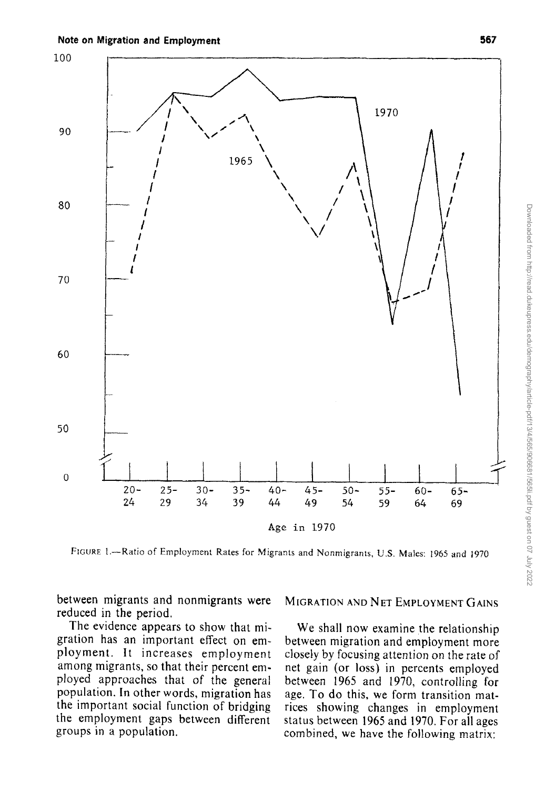

FIGURE I.-Ratio of Employment Rates for Migrants and Nonmigrants. U.S. Males: 1965 and 1970

between migrants and nonmigrants were reduced in the period.

The evidence appears to show that migration has an important effect on employment. It increases employment among migrants, so that their percent employed approaches that of the general population. In other words, migration has the important social function of bridging the employment gaps between different groups in a population.

## MIGRATION AND NET EMPLOYMENT GAINS

We shall now examine the relationship between migration and employment more closely by focusing attention on the rate of net gain (or loss) in percents employed between 1965 and 1970, controlling for age. To do this, we form transition matrices showing changes in employment status between 1965 and 1970. For all ages combined, we have the following matrix: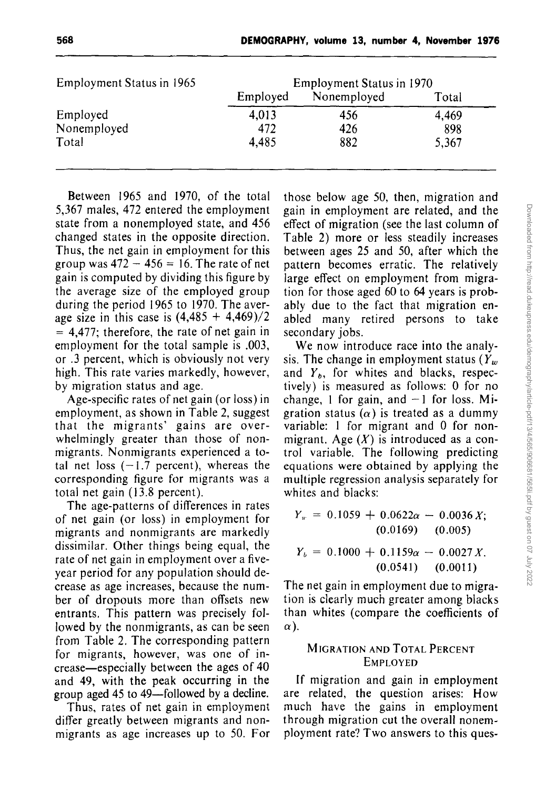| Employment Status in 1965 |          | Employment Status in 1970 |       |
|---------------------------|----------|---------------------------|-------|
|                           | Employed | Nonemployed               | Total |
| Employed                  | 4,013    | 456                       | 4,469 |
| Nonemployed               | 472      | 426                       | 898   |
| Total                     | 4,485    | 882                       | 5,367 |
|                           |          |                           |       |

Between 1965 and 1970, of the total 5,367 males, 472 entered the employment state from a nonemployed state, and 456 changed states in the opposite direction. Thus, the net gain in employment for this group was  $472 - 456 = 16$ . The rate of net gain is computed by dividing this figure by the average size of the employed group during the period 1965 to 1970. The average size in this case is  $(4,485 + 4,469)/2$  $= 4.477$ ; therefore, the rate of net gain in employment for the total sample is .003, or .3 percent, which is obviously not very high. This rate varies markedly, however, by migration status and age.

Age-specific rates of net gain (or loss) in employment, as shown in Table 2, suggest that the migrants' gains are overwhelmingly greater than those of nonmigrants. Nonmigrants experienced a total net loss  $(-1.7$  percent), whereas the corresponding figure for migrants was a total net gain (13.8 percent).

The age-patterns of differences in rates of net gain (or loss) in employment for migrants and nonmigrants are markedly dissimilar. Other things being equal, the rate of net gain in employment over a fiveyear period for any population should decrease as age increases, because the number of dropouts more than offsets new entrants. This pattern was precisely followed by the nonmigrants, as can be seen from Table 2. The corresponding pattern for migrants, however, was one of increase-especially between the ages of 40 and 49, with the peak occurring in the group aged 45 to 49-followed by a decline.

Thus, rates of net gain in employment differ greatly between migrants and nonmigrants as age increases up to 50. For

those below age 50, then, migration and gain in employment are related, and the effect of migration (see the last column of Table 2) more or less steadily increases between ages 25 and 50, after which the pattern becomes erratic. The relatively large effect on employment from migration for those aged 60 to 64 years is probably due to the fact that migration enabled many retired persons to take secondary jobs.

We now introduce race into the analysis. The change in employment status *(Y<sup>w</sup>* and  $Y_b$ , for whites and blacks, respectively) is measured as follows: 0 for no tively) is measured as follows: 0 for no change, 1 for gain, and  $-1$  for loss. Migration status  $(\alpha)$  is treated as a dummy<br>variable: 1 for migrant and 0 for nonvariable: 1 for migrant and 0 for nonmigrant. Age *(X)* is introduced as a control variable. The following predicting equations were obtained by applying the multiple regression analysis separately for whites and blacks:

$$
Y_w = 0.1059 + 0.0622\alpha - 0.0036 X;
$$
  
(0.0169) (0.005)  

$$
Y_b = 0.1000 + 0.1159\alpha - 0.0027 X.
$$

(0.0541) (0.0011)

The net gain in employment due to migration is clearly much greater among blacks than whites (compare the coefficients of  $\alpha$ ).

## MIGRATION AND TOTAL PERCENT EMPLOYED

If migration and gain in employment are related, the question arises: How much have the gains in employment through migration cut the overall nonemployment rate? Two answers to this ques-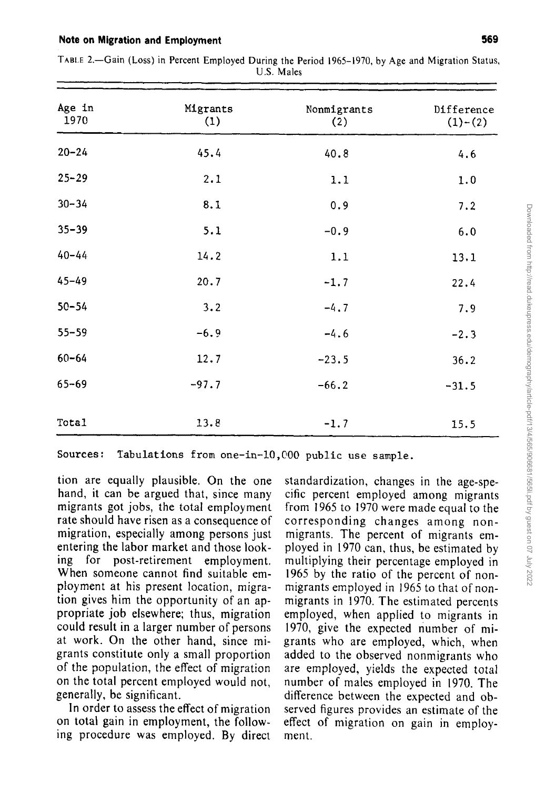#### **Note on Migration and Employment 569**

| Age in<br>1970 | Migrants<br>(1) | Nonmigrants<br>(2) | Difference<br>$(1)-(2)$ |
|----------------|-----------------|--------------------|-------------------------|
| $20 - 24$      | 45.4            | 40.8               | 4.6                     |
| $25 - 29$      | 2.1             | 1.1                | 1.0                     |
| $30 - 34$      | 8.1             | 0.9                | 7.2                     |
| $35 - 39$      | 5.1             | $-0.9$             | 6.0                     |
| $40 - 44$      | 14.2            | 1.1                | 13.1                    |
| $45 - 49$      | 20.7            | $-1.7$             | 22.4                    |
| $50 - 54$      | 3.2             | $-4.7$             | 7.9                     |
| $55 - 59$      | $-6.9$          | $-4.6$             | $-2.3$                  |
| $60 - 64$      | 12.7            | $-23.5$            | 36.2                    |
| $65 - 69$      | $-97.7$         | $-66.2$            | $-31.5$                 |
| Total          | 13.8            | $-1.7$             | 15.5                    |

| TABLE 2.—Gain (Loss) in Percent Employed During the Period 1965–1970, by Age and Migration Status |            |  |  |
|---------------------------------------------------------------------------------------------------|------------|--|--|
|                                                                                                   | U.S. Males |  |  |

Sources: Tabulations from one-in-10,000 public use sample.

tion are equalIy plausible. On the one hand, it can be argued that, since many migrants got jobs, the total employment rate should have risen as a consequence of migration, especialIy among persons just entering the labor market and those looking for post-retirement employment. When someone cannot find suitable employment at his present location, migration gives him the opportunity of an appropriate job elsewhere; thus, migration could result in a larger number of persons at work. On the other hand, since migrants constitute only a smalI proportion of the population, the effect of migration on the total percent employed would not, generalIy, be significant.

**In** order to assess the effect of migration on total gain in employment, the folIowing procedure was employed. By direct

standardization, changes in the age-specific percent employed among migrants from 1965 to 1970 were made equal to the corresponding changes among nonmigrants. The percent of migrants employed in 1970 can, thus, be estimated by multiplying their percentage employed in 1965 by the ratio of the percent of nonmigrants employed in 1965 to that of nonmigrants in 1970. The estimated percents employed, when applied to migrants in 1970, give the expected number of migrants who are employed, which, when added to the observed nonmigrants who are employed, yields the expected total number of males employed in 1970. The difference between the expected and observed figures provides an estimate of the effect of migration on gain in employment.

Downloaded from http://read.dukeupress.edu/demography/article-pdf/13/4/565/906681/565ii.pdf by guest on 07 July 202: Downloaded from http://read.dukeupress.edu/demography/article-pdf/13/4/565/906681/565li.pdf by guest on 07 July 2022